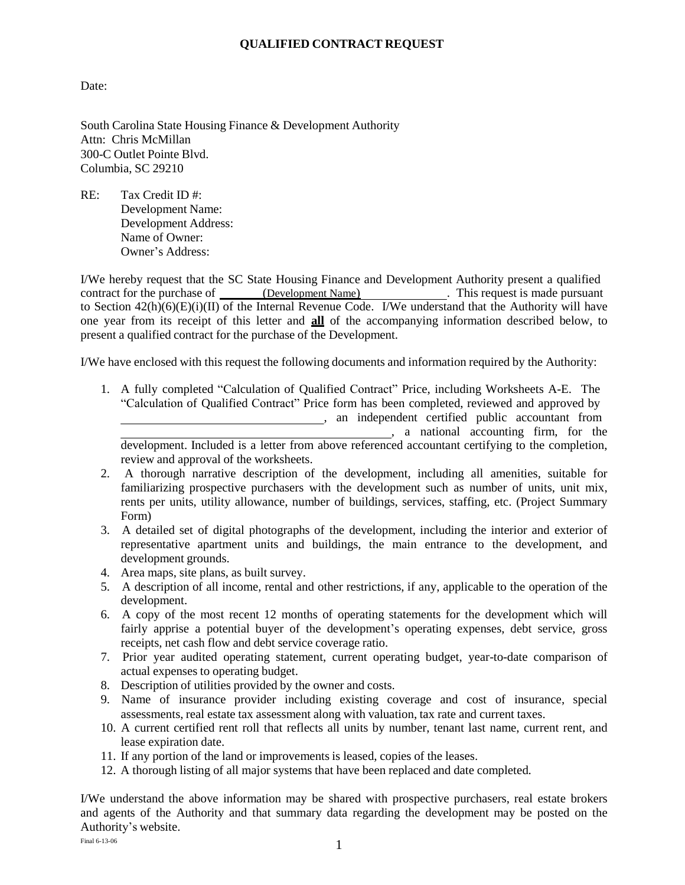### **QUALIFIED CONTRACT REQUEST**

Date:

South Carolina State Housing Finance & Development Authority Attn: Chris McMillan 300-C Outlet Pointe Blvd. Columbia, SC 29210

RE: Tax Credit ID #: Development Name: Development Address: Name of Owner: Owner's Address:

I/We hereby request that the SC State Housing Finance and Development Authority present a qualified contract for the purchase of (Development Name) . This request is made pursuant to Section  $42(h)(6)(E)(i)(II)$  of the Internal Revenue Code. I/We understand that the Authority will have one year from its receipt of this letter and **all** of the accompanying information described below, to present a qualified contract for the purchase of the Development.

I/We have enclosed with this request the following documents and information required by the Authority:

- 1. A fully completed "Calculation of Qualified Contract" Price, including Worksheets A-E. The "Calculation of Qualified Contract" Price form has been completed, reviewed and approved by , an independent certified public accountant from , a national accounting firm, for the development. Included is a letter from above referenced accountant certifying to the completion, review and approval of the worksheets.
- 2. A thorough narrative description of the development, including all amenities, suitable for familiarizing prospective purchasers with the development such as number of units, unit mix, rents per units, utility allowance, number of buildings, services, staffing, etc. (Project Summary Form)
- 3. A detailed set of digital photographs of the development, including the interior and exterior of representative apartment units and buildings, the main entrance to the development, and development grounds.
- 4. Area maps, site plans, as built survey.
- 5. A description of all income, rental and other restrictions, if any, applicable to the operation of the development.
- 6. A copy of the most recent 12 months of operating statements for the development which will fairly apprise a potential buyer of the development's operating expenses, debt service, gross receipts, net cash flow and debt service coverage ratio.
- 7. Prior year audited operating statement, current operating budget, year-to-date comparison of actual expenses to operating budget.
- 8. Description of utilities provided by the owner and costs.
- 9. Name of insurance provider including existing coverage and cost of insurance, special assessments, real estate tax assessment along with valuation, tax rate and current taxes.
- 10. A current certified rent roll that reflects all units by number, tenant last name, current rent, and lease expiration date.
- 11. If any portion of the land or improvements is leased, copies of the leases.
- 12. A thorough listing of all major systems that have been replaced and date completed.

I/We understand the above information may be shared with prospective purchasers, real estate brokers and agents of the Authority and that summary data regarding the development may be posted on the Authority's website.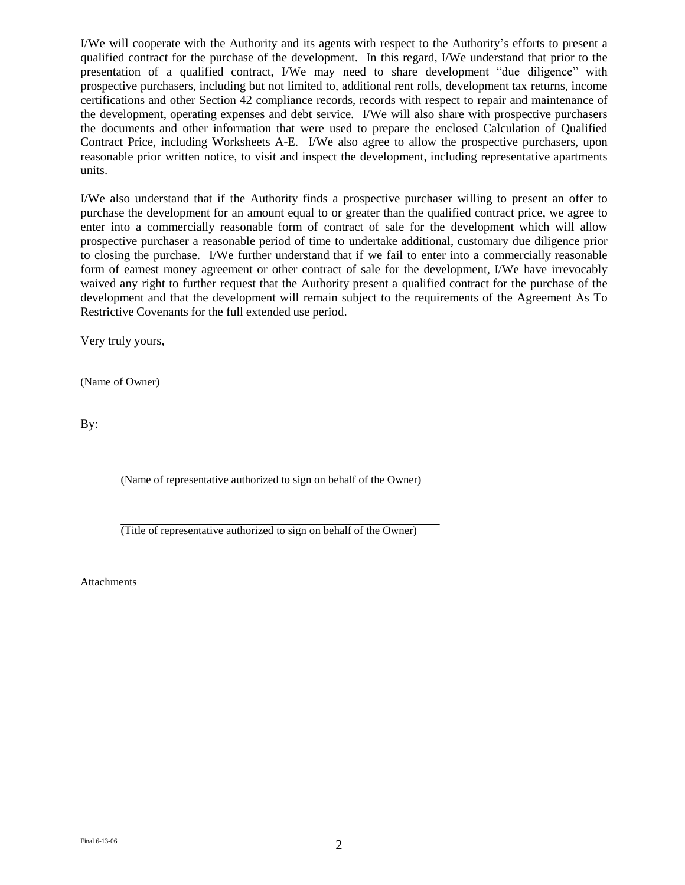I/We will cooperate with the Authority and its agents with respect to the Authority's efforts to present a qualified contract for the purchase of the development. In this regard, I/We understand that prior to the presentation of a qualified contract, I/We may need to share development "due diligence" with prospective purchasers, including but not limited to, additional rent rolls, development tax returns, income certifications and other Section 42 compliance records, records with respect to repair and maintenance of the development, operating expenses and debt service. I/We will also share with prospective purchasers the documents and other information that were used to prepare the enclosed Calculation of Qualified Contract Price, including Worksheets A-E. I/We also agree to allow the prospective purchasers, upon reasonable prior written notice, to visit and inspect the development, including representative apartments units.

I/We also understand that if the Authority finds a prospective purchaser willing to present an offer to purchase the development for an amount equal to or greater than the qualified contract price, we agree to enter into a commercially reasonable form of contract of sale for the development which will allow prospective purchaser a reasonable period of time to undertake additional, customary due diligence prior to closing the purchase. I/We further understand that if we fail to enter into a commercially reasonable form of earnest money agreement or other contract of sale for the development, I/We have irrevocably waived any right to further request that the Authority present a qualified contract for the purchase of the development and that the development will remain subject to the requirements of the Agreement As To Restrictive Covenants for the full extended use period.

Very truly yours,

(Name of Owner)

By:

(Name of representative authorized to sign on behalf of the Owner)

(Title of representative authorized to sign on behalf of the Owner)

Attachments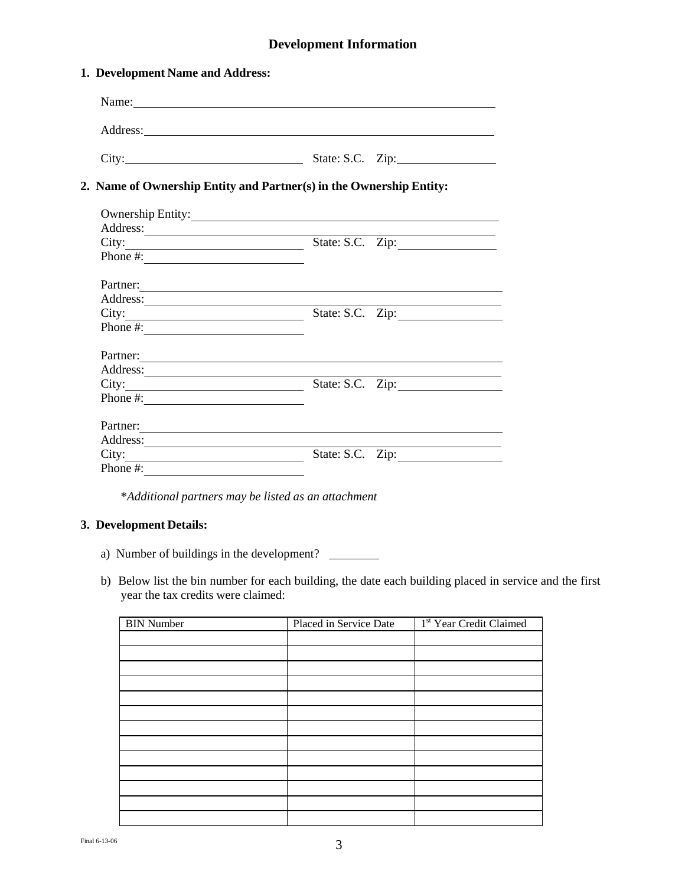## **Development Information**

|                          | Name: Name and the state of the state of the state of the state of the state of the state of the state of the state of the state of the state of the state of the state of the state of the state of the state of the state of |
|--------------------------|--------------------------------------------------------------------------------------------------------------------------------------------------------------------------------------------------------------------------------|
|                          |                                                                                                                                                                                                                                |
|                          | City: State: S.C. Zip:                                                                                                                                                                                                         |
|                          | 2. Name of Ownership Entity and Partner(s) in the Ownership Entity:                                                                                                                                                            |
|                          | Ownership Entity: New York Changes and Security:                                                                                                                                                                               |
| Address:                 |                                                                                                                                                                                                                                |
|                          | City: State: S.C. Zip:                                                                                                                                                                                                         |
| Phone $\#$ :             |                                                                                                                                                                                                                                |
|                          | Partner:                                                                                                                                                                                                                       |
| Address:                 |                                                                                                                                                                                                                                |
|                          |                                                                                                                                                                                                                                |
| Phone $\#$ :             |                                                                                                                                                                                                                                |
|                          | Partner:                                                                                                                                                                                                                       |
| Address:                 | the control of the control of the control of                                                                                                                                                                                   |
| City:                    | State: S.C. Zip:                                                                                                                                                                                                               |
| Phone #: $\qquad \qquad$ |                                                                                                                                                                                                                                |
|                          | Partner:                                                                                                                                                                                                                       |
|                          |                                                                                                                                                                                                                                |
| City:                    | State: S.C. Zip:                                                                                                                                                                                                               |
|                          |                                                                                                                                                                                                                                |

\**Additional partners may be listed as an attachment*

## **3. Development Details:**

- a) Number of buildings in the development?
- b) Below list the bin number for each building, the date each building placed in service and the first year the tax credits were claimed:

| <b>BIN</b> Number | Placed in Service Date | <sup>1st</sup> Year Credit Claimed |
|-------------------|------------------------|------------------------------------|
|                   |                        |                                    |
|                   |                        |                                    |
|                   |                        |                                    |
|                   |                        |                                    |
|                   |                        |                                    |
|                   |                        |                                    |
|                   |                        |                                    |
|                   |                        |                                    |
|                   |                        |                                    |
|                   |                        |                                    |
|                   |                        |                                    |
|                   |                        |                                    |
|                   |                        |                                    |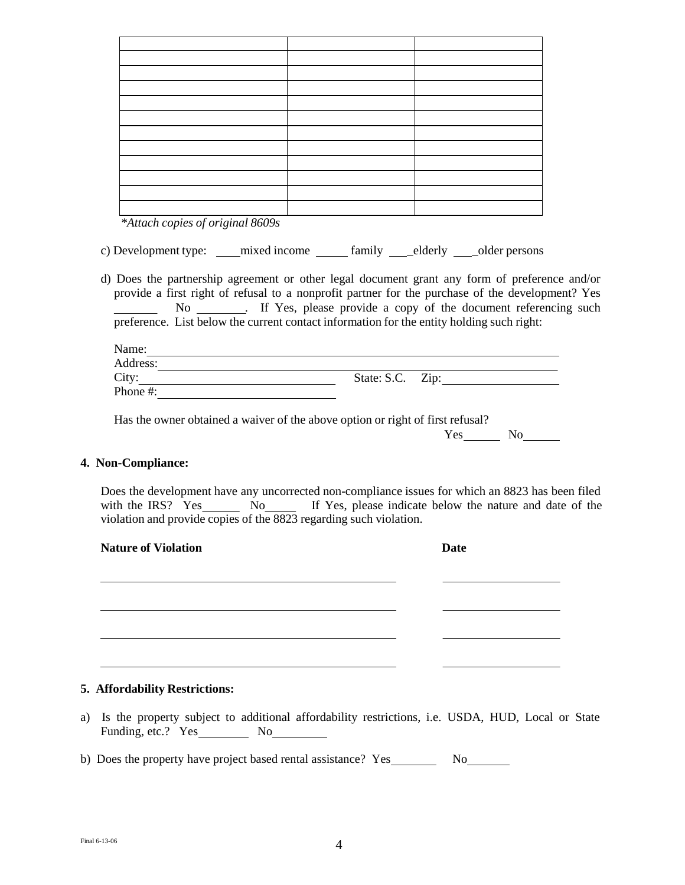*\*Attach copies of original 8609s*

c) Development type: <u>mixed income</u> family elderly older persons

d) Does the partnership agreement or other legal document grant any form of preference and/or provide a first right of refusal to a nonprofit partner for the purchase of the development? Yes No \_\_\_\_\_\_\_. If Yes, please provide a copy of the document referencing such preference. List below the current contact information for the entity holding such right:

| Name:    |                  |  |
|----------|------------------|--|
| Address: |                  |  |
| City:    | State: S.C. Zip: |  |
| Phone #: |                  |  |

Has the owner obtained a waiver of the above option or right of first refusal? Yes No

#### **4. Non-Compliance:**

Does the development have any uncorrected non-compliance issues for which an 8823 has been filed with the IRS? Yes No If Yes, please indicate below the nature and date of the violation and provide copies of the 8823 regarding such violation.

| <b>Nature of Violation</b> | <b>Date</b> |  |
|----------------------------|-------------|--|
|                            |             |  |
|                            |             |  |
|                            |             |  |
|                            |             |  |
|                            |             |  |

### **5. Affordability Restrictions:**

- a) Is the property subject to additional affordability restrictions, i.e. USDA, HUD, Local or State Funding, etc.? Yes No
- b) Does the property have project based rental assistance? Yes No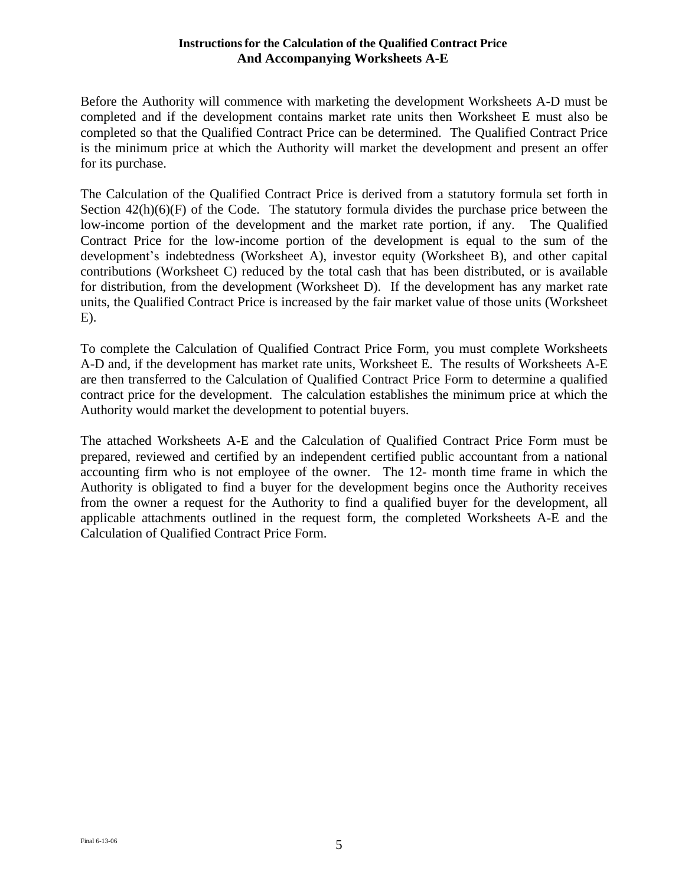### **Instructionsfor the Calculation of the Qualified Contract Price And Accompanying Worksheets A-E**

Before the Authority will commence with marketing the development Worksheets A-D must be completed and if the development contains market rate units then Worksheet E must also be completed so that the Qualified Contract Price can be determined. The Qualified Contract Price is the minimum price at which the Authority will market the development and present an offer for its purchase.

The Calculation of the Qualified Contract Price is derived from a statutory formula set forth in Section  $42(h)(6)(F)$  of the Code. The statutory formula divides the purchase price between the low-income portion of the development and the market rate portion, if any. The Qualified Contract Price for the low-income portion of the development is equal to the sum of the development's indebtedness (Worksheet A), investor equity (Worksheet B), and other capital contributions (Worksheet C) reduced by the total cash that has been distributed, or is available for distribution, from the development (Worksheet D). If the development has any market rate units, the Qualified Contract Price is increased by the fair market value of those units (Worksheet E).

To complete the Calculation of Qualified Contract Price Form, you must complete Worksheets A-D and, if the development has market rate units, Worksheet E. The results of Worksheets A-E are then transferred to the Calculation of Qualified Contract Price Form to determine a qualified contract price for the development. The calculation establishes the minimum price at which the Authority would market the development to potential buyers.

The attached Worksheets A-E and the Calculation of Qualified Contract Price Form must be prepared, reviewed and certified by an independent certified public accountant from a national accounting firm who is not employee of the owner. The 12- month time frame in which the Authority is obligated to find a buyer for the development begins once the Authority receives from the owner a request for the Authority to find a qualified buyer for the development, all applicable attachments outlined in the request form, the completed Worksheets A-E and the Calculation of Qualified Contract Price Form.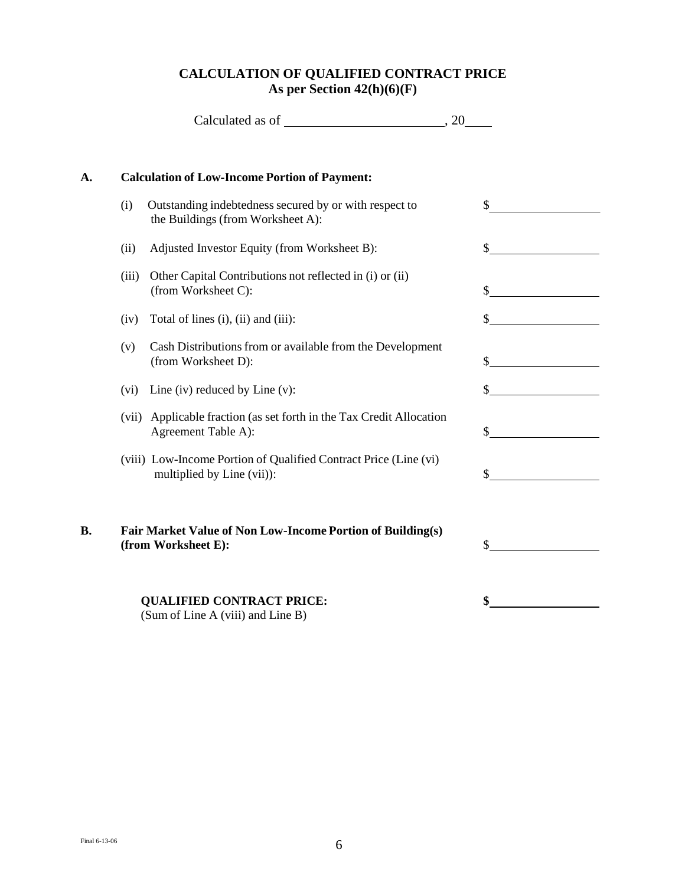## **CALCULATION OF QUALIFIED CONTRACT PRICE As per Section 42(h)(6)(F)**

|    |       |                                                                                                | , 20 |  |
|----|-------|------------------------------------------------------------------------------------------------|------|--|
| A. |       | <b>Calculation of Low-Income Portion of Payment:</b>                                           |      |  |
|    | (i)   | Outstanding indebtedness secured by or with respect to<br>the Buildings (from Worksheet A):    | \$   |  |
|    | (ii)  | Adjusted Investor Equity (from Worksheet B):                                                   | \$   |  |
|    | (iii) | Other Capital Contributions not reflected in (i) or (ii)<br>(from Worksheet C):                | \$   |  |
|    | (iv)  | Total of lines (i), (ii) and (iii):                                                            | \$   |  |
|    | (v)   | Cash Distributions from or available from the Development<br>(from Worksheet D):               | \$   |  |
|    | (vi)  | Line (iv) reduced by Line $(v)$ :                                                              | \$   |  |
|    |       | (vii) Applicable fraction (as set forth in the Tax Credit Allocation<br>Agreement Table A):    | \$   |  |
|    |       | (viii) Low-Income Portion of Qualified Contract Price (Line (vi)<br>multiplied by Line (vii)): | \$   |  |
| B. |       | Fair Market Value of Non Low-Income Portion of Building(s)<br>(from Worksheet E):              | \$   |  |
|    |       | <b>QUALIFIED CONTRACT PRICE:</b><br>(Sum of Line A (viii) and Line B)                          |      |  |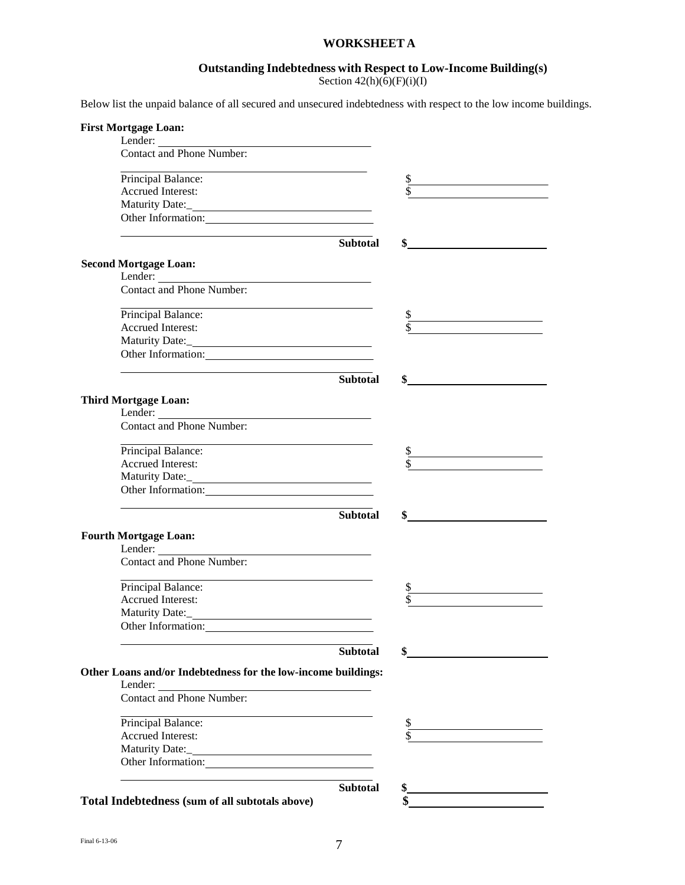#### **WORKSHEET A**

### **Outstanding Indebtedness with Respect to Low-Income Building(s)**

Section  $42(h)(6)(F)(i)(I)$ 

Below list the unpaid balance of all secured and unsecured indebtedness with respect to the low income buildings.

| <b>First Mortgage Loan:</b>                                                                                                                                                                                                                         |                 |                                                                   |
|-----------------------------------------------------------------------------------------------------------------------------------------------------------------------------------------------------------------------------------------------------|-----------------|-------------------------------------------------------------------|
| Lender:                                                                                                                                                                                                                                             |                 |                                                                   |
| <b>Contact and Phone Number:</b>                                                                                                                                                                                                                    |                 |                                                                   |
| <u> 1989 - Johann Barn, mars eta bainar eta idazlea (</u><br>Principal Balance:                                                                                                                                                                     |                 | \$                                                                |
| <b>Accrued Interest:</b>                                                                                                                                                                                                                            |                 |                                                                   |
|                                                                                                                                                                                                                                                     |                 |                                                                   |
| Other Information:                                                                                                                                                                                                                                  |                 |                                                                   |
|                                                                                                                                                                                                                                                     |                 |                                                                   |
|                                                                                                                                                                                                                                                     | <b>Subtotal</b> | \$                                                                |
| <b>Second Mortgage Loan:</b>                                                                                                                                                                                                                        |                 |                                                                   |
| Lender: $\frac{1}{\sqrt{1-\frac{1}{2}}\cdot\frac{1}{2}}$<br><u> 1989 - Johann Barn, amerikansk politiker (</u>                                                                                                                                      |                 |                                                                   |
| <b>Contact and Phone Number:</b>                                                                                                                                                                                                                    |                 |                                                                   |
| Principal Balance:                                                                                                                                                                                                                                  |                 | \$<br><u> 1989 - Johann Barbara, martxa al III-lea (h. 1974).</u> |
| <b>Accrued Interest:</b>                                                                                                                                                                                                                            |                 | \$                                                                |
|                                                                                                                                                                                                                                                     |                 |                                                                   |
| Maturity Date:                                                                                                                                                                                                                                      |                 |                                                                   |
| Other Information:                                                                                                                                                                                                                                  |                 |                                                                   |
|                                                                                                                                                                                                                                                     | <b>Subtotal</b> | \$                                                                |
|                                                                                                                                                                                                                                                     |                 |                                                                   |
| <b>Third Mortgage Loan:</b>                                                                                                                                                                                                                         |                 |                                                                   |
| Lender: <u>Contact and Phone Number:</u>                                                                                                                                                                                                            |                 |                                                                   |
|                                                                                                                                                                                                                                                     |                 |                                                                   |
| the control of the control of the control of the control of the control of<br>Principal Balance:                                                                                                                                                    |                 | \$<br><u> 1989 - Johann Barn, mars ann an t-Amhair ann an t-</u>  |
| <b>Accrued Interest:</b>                                                                                                                                                                                                                            |                 |                                                                   |
|                                                                                                                                                                                                                                                     |                 |                                                                   |
| Other Information:                                                                                                                                                                                                                                  |                 |                                                                   |
| the control of the control of the control of the control of the control of the control of                                                                                                                                                           |                 |                                                                   |
|                                                                                                                                                                                                                                                     | <b>Subtotal</b> | \$                                                                |
| <b>Fourth Mortgage Loan:</b>                                                                                                                                                                                                                        |                 |                                                                   |
| Lender:                                                                                                                                                                                                                                             |                 |                                                                   |
| <b>Contact and Phone Number:</b>                                                                                                                                                                                                                    |                 |                                                                   |
| <u> 1980 - Johann Barbara, martxa alemaniar a</u><br>Principal Balance:                                                                                                                                                                             |                 | \$                                                                |
| <b>Accrued Interest:</b>                                                                                                                                                                                                                            |                 |                                                                   |
|                                                                                                                                                                                                                                                     |                 |                                                                   |
|                                                                                                                                                                                                                                                     |                 |                                                                   |
| Other Information:<br>the control of the control of the control of the control of the control of the control of the control of the control of the control of the control of the control of the control of the control of the control of the control |                 |                                                                   |
|                                                                                                                                                                                                                                                     | <b>Subtotal</b> | \$                                                                |
| Other Loans and/or Indebtedness for the low-income buildings:                                                                                                                                                                                       |                 |                                                                   |
| Lender:                                                                                                                                                                                                                                             |                 |                                                                   |
| <b>Contact and Phone Number:</b>                                                                                                                                                                                                                    |                 |                                                                   |
| Principal Balance:                                                                                                                                                                                                                                  |                 | \$                                                                |
| Accrued Interest:                                                                                                                                                                                                                                   |                 | <u> 1989 - Johann Barbara, martxa alemaniar a</u>                 |
|                                                                                                                                                                                                                                                     |                 |                                                                   |
|                                                                                                                                                                                                                                                     |                 |                                                                   |
|                                                                                                                                                                                                                                                     |                 |                                                                   |
|                                                                                                                                                                                                                                                     | <b>Subtotal</b> | \$                                                                |
| Total Indebtedness (sum of all subtotals above)                                                                                                                                                                                                     |                 |                                                                   |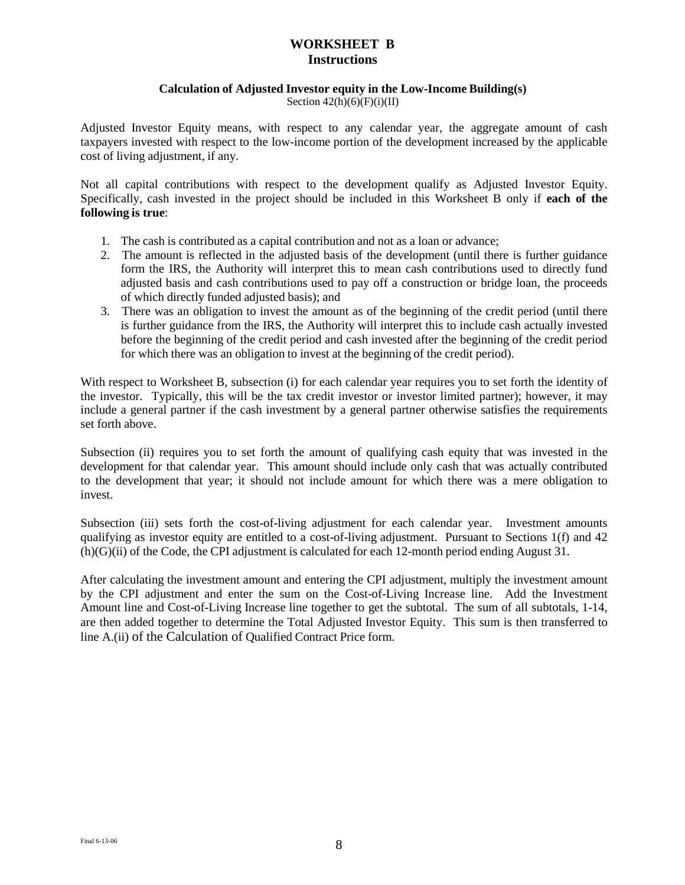## **WORKSHEET B Instructions**

### **Calculation of Adjusted Investor equity in the Low-Income Building(s)**

Section  $42(h)(6)(F)(i)(II)$ 

Adjusted Investor Equity means, with respect to any calendar year, the aggregate amount of cash taxpayers invested with respect to the low-income portion of the development increased by the applicable cost of living adjustment, if any.

Not all capital contributions with respect to the development qualify as Adjusted Investor Equity. Specifically, cash invested in the project should be included in this Worksheet B only if **each of the following is true**:

- 1. The cash is contributed as a capital contribution and not as a loan or advance;
- 2. The amount is reflected in the adjusted basis of the development (until there is further guidance form the IRS, the Authority will interpret this to mean cash contributions used to directly fund adjusted basis and cash contributions used to pay off a construction or bridge loan, the proceeds of which directly funded adjusted basis); and
- 3. There was an obligation to invest the amount as of the beginning of the credit period (until there is further guidance from the IRS, the Authority will interpret this to include cash actually invested before the beginning of the credit period and cash invested after the beginning of the credit period for which there was an obligation to invest at the beginning of the credit period).

With respect to Worksheet B, subsection (i) for each calendar year requires you to set forth the identity of the investor. Typically, this will be the tax credit investor or investor limited partner); however, it may include a general partner if the cash investment by a general partner otherwise satisfies the requirements set forth above.

Subsection (ii) requires you to set forth the amount of qualifying cash equity that was invested in the development for that calendar year. This amount should include only cash that was actually contributed to the development that year; it should not include amount for which there was a mere obligation to invest.

Subsection (iii) sets forth the cost-of-living adjustment for each calendar year. Investment amounts qualifying as investor equity are entitled to a cost-of-living adjustment. Pursuant to Sections 1(f) and 42 (h)(G)(ii) of the Code, the CPI adjustment is calculated for each 12-month period ending August 31.

After calculating the investment amount and entering the CPI adjustment, multiply the investment amount by the CPI adjustment and enter the sum on the Cost-of-Living Increase line. Add the Investment Amount line and Cost-of-Living Increase line together to get the subtotal. The sum of all subtotals, 1-14, are then added together to determine the Total Adjusted Investor Equity. This sum is then transferred to line A.(ii) of the Calculation of Qualified Contract Price form.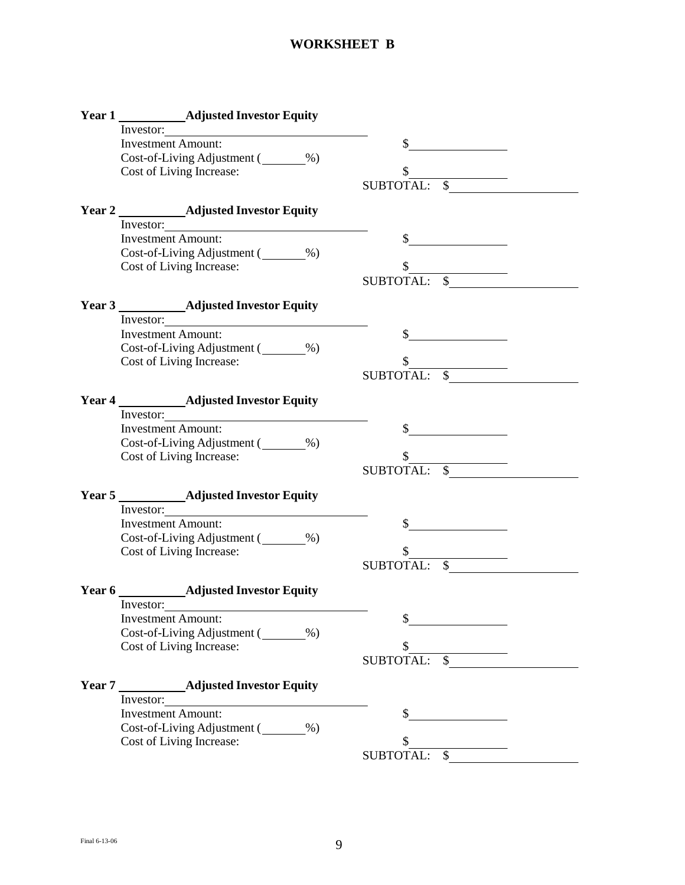# **WORKSHEET B**

|        | Year 1 ____________ Adjusted Investor Equity                                            |                  |                 |  |
|--------|-----------------------------------------------------------------------------------------|------------------|-----------------|--|
|        | Investor:                                                                               |                  |                 |  |
|        | <b>Investment Amount:</b>                                                               | \$               |                 |  |
|        | Cost-of-Living Adjustment (2008)                                                        |                  |                 |  |
|        | Cost of Living Increase:                                                                | \$               |                 |  |
|        |                                                                                         |                  | SUBTOTAL: \$    |  |
|        |                                                                                         |                  |                 |  |
|        |                                                                                         |                  |                 |  |
|        | Investor:<br><b>Investment Amount:</b>                                                  |                  |                 |  |
|        |                                                                                         |                  |                 |  |
|        | Cost-of-Living Adjustment (Cost-of-Living Adjustment (Cost-<br>Cost of Living Increase: |                  |                 |  |
|        |                                                                                         |                  |                 |  |
|        |                                                                                         |                  |                 |  |
|        |                                                                                         |                  |                 |  |
|        | Investor:                                                                               |                  |                 |  |
|        | <b>Investment Amount:</b>                                                               | $\mathbb{S}$     |                 |  |
|        | Cost-of-Living Adjustment (Cost-of-Living Adjustment (Cost-of-                          |                  |                 |  |
|        | Cost of Living Increase:                                                                |                  |                 |  |
|        |                                                                                         | <b>SUBTOTAL:</b> | $\cdot$ \$      |  |
|        |                                                                                         |                  |                 |  |
|        |                                                                                         |                  |                 |  |
|        | Investor:                                                                               |                  |                 |  |
|        | <b>Investment Amount:</b>                                                               | $\frac{1}{2}$    |                 |  |
|        | Cost-of-Living Adjustment (______%)                                                     |                  |                 |  |
|        | Cost of Living Increase:                                                                |                  |                 |  |
|        |                                                                                         | <b>SUBTOTAL:</b> |                 |  |
|        |                                                                                         |                  |                 |  |
|        | Investor:                                                                               |                  |                 |  |
|        | <b>Investment Amount:</b>                                                               | $\mathbb{S}^-$   |                 |  |
|        | Cost-of-Living Adjustment (Cost-of-Living Adjustment (Cost-                             |                  |                 |  |
|        | Cost of Living Increase:                                                                |                  |                 |  |
|        |                                                                                         | <b>SUBTOTAL:</b> |                 |  |
|        |                                                                                         |                  |                 |  |
|        | Year 6 _____________ Adjusted Investor Equity<br>Investor:                              |                  |                 |  |
|        | <b>Investment Amount:</b>                                                               | \$               |                 |  |
|        | Cost-of-Living Adjustment (1, 1996)                                                     |                  |                 |  |
|        | Cost of Living Increase:                                                                | \$               |                 |  |
|        |                                                                                         | <b>SUBTOTAL:</b> | $\overline{\$}$ |  |
|        |                                                                                         |                  |                 |  |
| Year 7 | <b>Equity</b> Adjusted Investor Equity                                                  |                  |                 |  |
|        | Investor:                                                                               |                  |                 |  |
|        | <b>Investment Amount:</b>                                                               | \$               |                 |  |
|        | Cost-of-Living Adjustment (2004)                                                        |                  |                 |  |
|        | Cost of Living Increase:                                                                | \$               |                 |  |
|        |                                                                                         | <b>SUBTOTAL:</b> | $\mathcal{S}$   |  |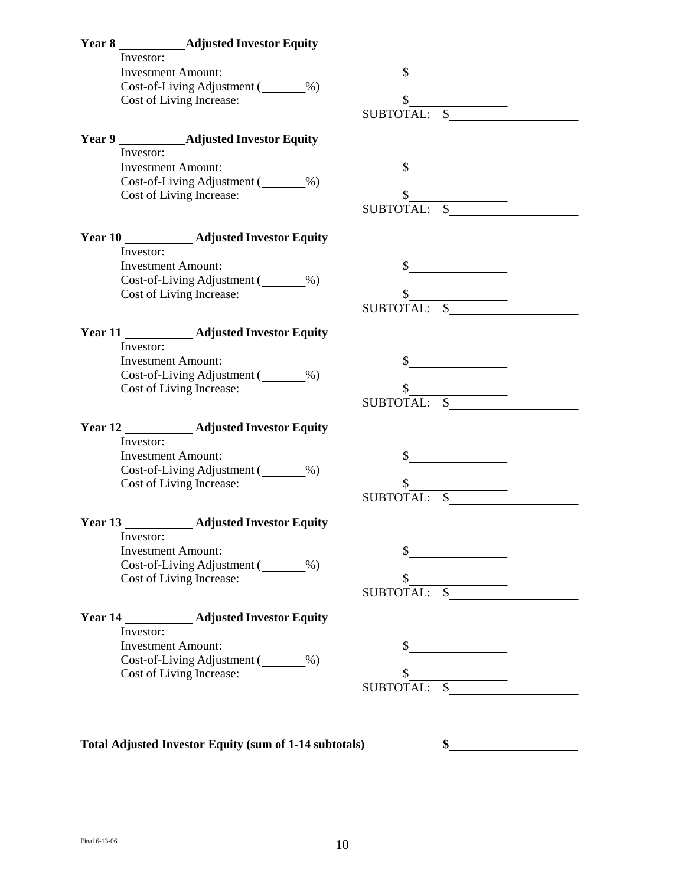| Investor:                                                         |                                                 |
|-------------------------------------------------------------------|-------------------------------------------------|
| <b>Investment Amount:</b>                                         | $\mathbb{S}$                                    |
| Cost-of-Living Adjustment (Cost-of-Living Adjustment (Cost-       |                                                 |
| Cost of Living Increase:                                          | $$$ SUBTOTAL: $$$                               |
|                                                                   |                                                 |
| Year 9 _____________ Adjusted Investor Equity                     |                                                 |
|                                                                   |                                                 |
| Investor:<br><b>Investment Amount:</b>                            | $\sim$ $\sim$                                   |
| Cost-of-Living Adjustment (1994)                                  |                                                 |
| Cost of Living Increase:                                          |                                                 |
|                                                                   |                                                 |
|                                                                   |                                                 |
| Year 10 ___________ Adjusted Investor Equity                      |                                                 |
| Investor:                                                         |                                                 |
| <b>Investment Amount:</b>                                         |                                                 |
| Cost-of-Living Adjustment (2004)                                  |                                                 |
| Cost of Living Increase:                                          | $$\underbrace{\$}$ SUBTOTAL: $$\underbrace{\$}$ |
|                                                                   |                                                 |
|                                                                   |                                                 |
| Year 11 ___________ Adjusted Investor Equity                      |                                                 |
| Investor:                                                         |                                                 |
| <b>Investment Amount:</b>                                         |                                                 |
| Cost-of-Living Adjustment (Cost-of-Living Adjustment (Cost-       |                                                 |
| Cost of Living Increase:                                          | $$UBTOTAL:$ $$$                                 |
|                                                                   |                                                 |
| Year 12 ___________ Adjusted Investor Equity                      |                                                 |
| Investor:                                                         |                                                 |
| <b>Investment Amount:</b>                                         |                                                 |
| Cost-of-Living Adjustment (_______%)                              |                                                 |
| Cost of Living Increase:                                          |                                                 |
|                                                                   | SUBTOTAL: \$                                    |
|                                                                   |                                                 |
| Year 13 ___________ Adjusted Investor Equity<br>Investor:         |                                                 |
|                                                                   |                                                 |
| <b>Investment Amount:</b><br>Cost-of-Living Adjustment (<br>$%$ ) |                                                 |
| Cost of Living Increase:                                          | \$                                              |
|                                                                   | $$C\&SUBTOTAL:$ \$                              |
|                                                                   |                                                 |
| Year 14 ___________ Adjusted Investor Equity                      |                                                 |
| Investor:                                                         |                                                 |
| <b>Investment Amount:</b>                                         |                                                 |
| Cost-of-Living Adjustment (2004)                                  |                                                 |
| Cost of Living Increase:                                          |                                                 |
|                                                                   | $\frac{1}{2}$ \$<br><b>SUBTOTAL:</b>            |
|                                                                   |                                                 |
|                                                                   |                                                 |
|                                                                   |                                                 |
| Total Adjusted Investor Equity (sum of 1-14 subtotals)            | \$                                              |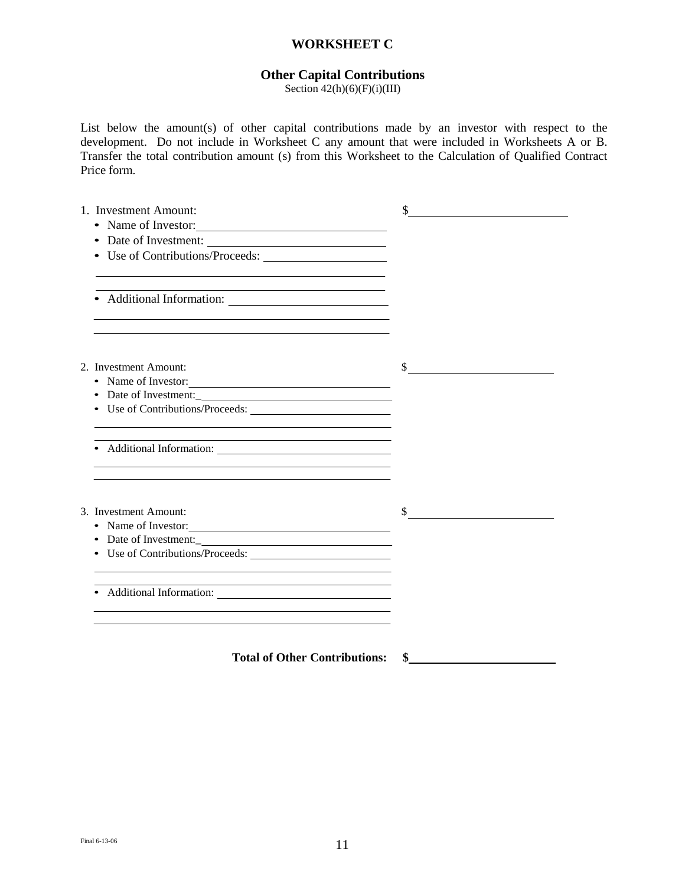### **WORKSHEET C**

### **Other Capital Contributions**

Section  $42(h)(6)(F)(i)(III)$ 

List below the amount(s) of other capital contributions made by an investor with respect to the development. Do not include in Worksheet C any amount that were included in Worksheets A or B. Transfer the total contribution amount (s) from this Worksheet to the Calculation of Qualified Contract Price form.

| 1. Investment Amount:                                                                     | \$                                                                |
|-------------------------------------------------------------------------------------------|-------------------------------------------------------------------|
| • Name of Investor:                                                                       |                                                                   |
|                                                                                           |                                                                   |
|                                                                                           |                                                                   |
|                                                                                           |                                                                   |
| the control of the control of the control of the control of the control of                |                                                                   |
|                                                                                           |                                                                   |
| 2. Investment Amount:                                                                     | \$<br><u> 1989 - Andrea Station Books, amerikansk politiker (</u> |
| • Name of Investor:<br><u> 1989 - Johann Barbara, martxa alemaniar a</u>                  |                                                                   |
| • Date of Investment:                                                                     |                                                                   |
|                                                                                           |                                                                   |
| the control of the control of the control of the control of the control of the control of |                                                                   |
| 3. Investment Amount:                                                                     | S                                                                 |
| • Name of Investor:                                                                       |                                                                   |
| • Date of Investment:                                                                     |                                                                   |
|                                                                                           |                                                                   |
| the control of the control of the control of the control of the control of                |                                                                   |
|                                                                                           |                                                                   |

**Total of Other Contributions: \$**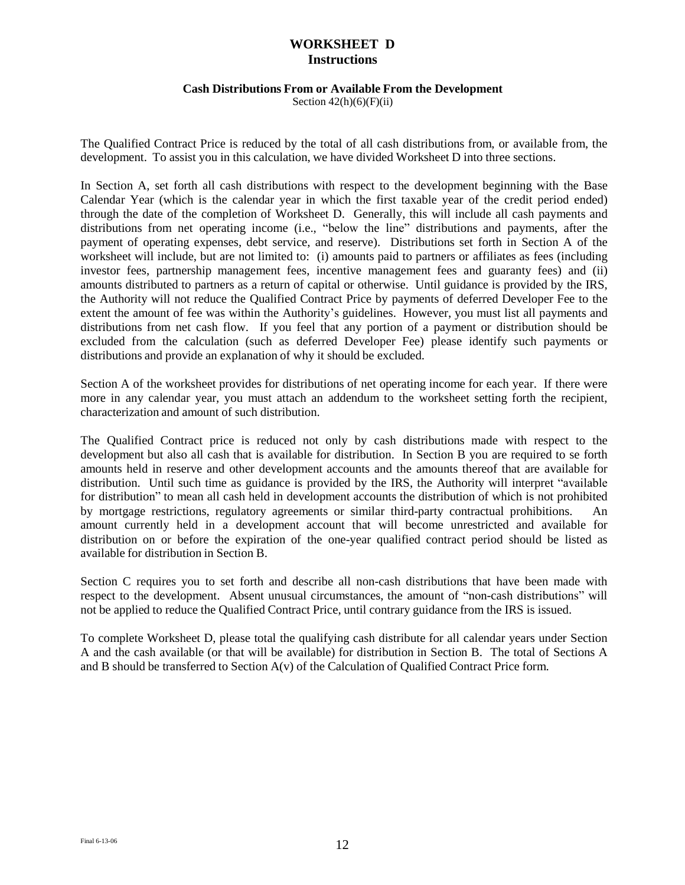## **WORKSHEET D Instructions**

### **Cash Distributions From or Available From the Development**

Section  $42(h)(6)(F)(ii)$ 

The Qualified Contract Price is reduced by the total of all cash distributions from, or available from, the development. To assist you in this calculation, we have divided Worksheet D into three sections.

In Section A, set forth all cash distributions with respect to the development beginning with the Base Calendar Year (which is the calendar year in which the first taxable year of the credit period ended) through the date of the completion of Worksheet D. Generally, this will include all cash payments and distributions from net operating income (i.e., "below the line" distributions and payments, after the payment of operating expenses, debt service, and reserve). Distributions set forth in Section A of the worksheet will include, but are not limited to: (i) amounts paid to partners or affiliates as fees (including investor fees, partnership management fees, incentive management fees and guaranty fees) and (ii) amounts distributed to partners as a return of capital or otherwise. Until guidance is provided by the IRS, the Authority will not reduce the Qualified Contract Price by payments of deferred Developer Fee to the extent the amount of fee was within the Authority's guidelines. However, you must list all payments and distributions from net cash flow. If you feel that any portion of a payment or distribution should be excluded from the calculation (such as deferred Developer Fee) please identify such payments or distributions and provide an explanation of why it should be excluded.

Section A of the worksheet provides for distributions of net operating income for each year. If there were more in any calendar year, you must attach an addendum to the worksheet setting forth the recipient, characterization and amount of such distribution.

The Qualified Contract price is reduced not only by cash distributions made with respect to the development but also all cash that is available for distribution. In Section B you are required to se forth amounts held in reserve and other development accounts and the amounts thereof that are available for distribution. Until such time as guidance is provided by the IRS, the Authority will interpret "available for distribution" to mean all cash held in development accounts the distribution of which is not prohibited by mortgage restrictions, regulatory agreements or similar third-party contractual prohibitions. An amount currently held in a development account that will become unrestricted and available for distribution on or before the expiration of the one-year qualified contract period should be listed as available for distribution in Section B.

Section C requires you to set forth and describe all non-cash distributions that have been made with respect to the development. Absent unusual circumstances, the amount of "non-cash distributions" will not be applied to reduce the Qualified Contract Price, until contrary guidance from the IRS is issued.

To complete Worksheet D, please total the qualifying cash distribute for all calendar years under Section A and the cash available (or that will be available) for distribution in Section B. The total of Sections A and B should be transferred to Section A(v) of the Calculation of Qualified Contract Price form.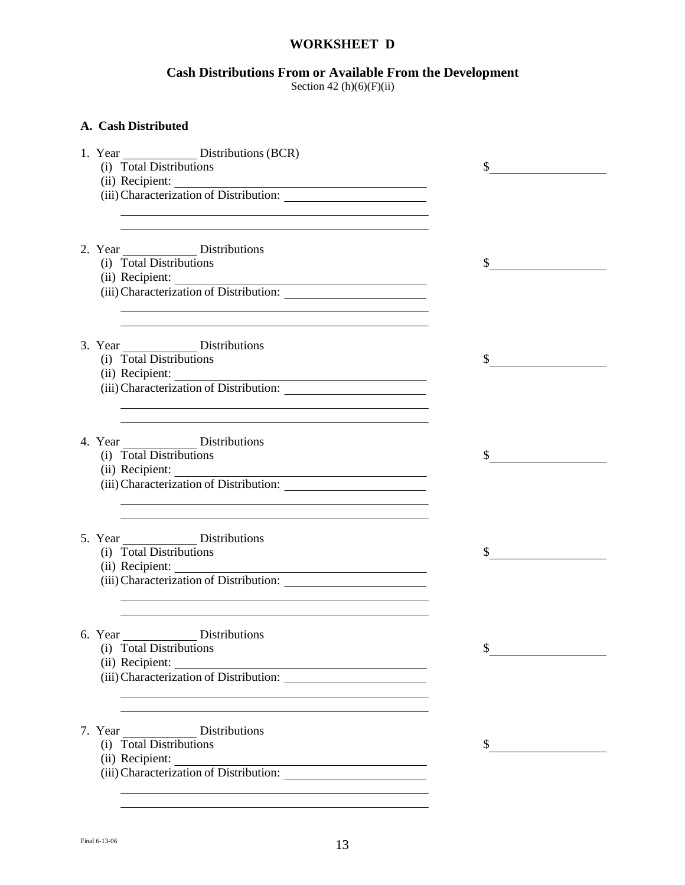# **WORKSHEET D**

### **Cash Distributions From or Available From the Development**

Section 42  $(h)(6)(F)(ii)$ 

| A. Cash Distributed                                                                                                                                                                                                                                                                                                                                                                                                                                                                  |     |
|--------------------------------------------------------------------------------------------------------------------------------------------------------------------------------------------------------------------------------------------------------------------------------------------------------------------------------------------------------------------------------------------------------------------------------------------------------------------------------------|-----|
| 1. Year ________________ Distributions (BCR)<br>(i) Total Distributions                                                                                                                                                                                                                                                                                                                                                                                                              |     |
| <u> 1989 - Johann Stoff, amerikansk politiker (d. 1989)</u><br>(i) Total Distributions<br>(ii) Recipient:<br>(iii) Characterization of Distribution:<br><u> 1989 - Johann Stoff, amerikansk politiker (* 1908)</u>                                                                                                                                                                                                                                                                   |     |
| and the control of the control of the control of the control of the control of the control of the control of the<br>3. Year Distributions<br>(i) Total Distributions<br>(ii) Recipient:<br>(iii) Characterization of Distribution:                                                                                                                                                                                                                                                   | \$. |
| 4. Year ________________ Distributions<br>(i) Total Distributions<br><u> 1980 - Johann Stoff, deutscher Stoffen und der Stoffen und der Stoffen und der Stoffen und der Stoffen und der</u>                                                                                                                                                                                                                                                                                          | \$  |
| the control of the control of the control of the control of the control of the control of the control of the control of the control of the control of the control of the control of the control of the control of the control<br>5. Year ________________ Distributions<br>(i) Total Distributions<br>(ii) Recipient:<br>(iii) Characterization of Distribution:<br>and the control of the control of the control of the control of the control of the control of the control of the | \$  |
| 6. Year _____________________ Distributions<br>(i) Total Distributions                                                                                                                                                                                                                                                                                                                                                                                                               | \$  |
| 7. Year Distributions<br>(i) Total Distributions                                                                                                                                                                                                                                                                                                                                                                                                                                     | \$  |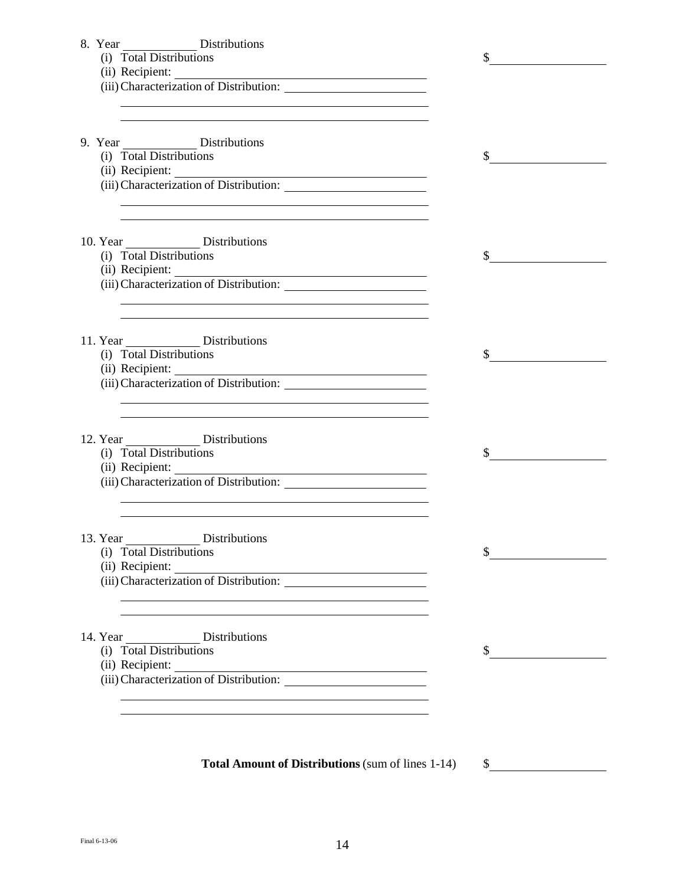| 8. Year Distributions<br>(i) Total Distributions                                                                                                                                             | \$           |
|----------------------------------------------------------------------------------------------------------------------------------------------------------------------------------------------|--------------|
| (ii) Recipient:<br>(iii) Characterization of Distribution:<br>and the control of the control of the control of the control of the control of the control of the control of the               |              |
| 9. Year Distributions<br>(i) Total Distributions                                                                                                                                             | $\mathbb{S}$ |
| (ii) Recipient:<br>(iii) Characterization of Distribution:<br>and the control of the control of the control of the control of the control of the control of the control of the               |              |
| (i) Total Distributions                                                                                                                                                                      |              |
| (ii) Recipient:<br>(iii) Characterization of Distribution:<br><u> 1989 - Johann Stoff, amerikansk politiker (d. 1989)</u>                                                                    |              |
| (i) Total Distributions                                                                                                                                                                      | $\sim$       |
|                                                                                                                                                                                              |              |
| (i) Total Distributions                                                                                                                                                                      | $\sim$       |
| and the control of the control of the control of the control of the control of the control of the control of the                                                                             |              |
| 13. Year ________________ Distributions<br>(i) Total Distributions<br>(ii) Recipient:                                                                                                        | \$           |
| <u> 1989 - Johann Barbara, marka a shekara tsa 1989 - An tsa 1989 - An tsa 1989 - An tsa 1989 - An tsa 1989 - An</u><br>14. Year Distributions<br>(i) Total Distributions<br>(ii) Recipient: | \$           |
| and the control of the control of the control of the control of the control of the control of the control of the                                                                             |              |
| <b>Total Amount of Distributions</b> (sum of lines 1-14)                                                                                                                                     | \$           |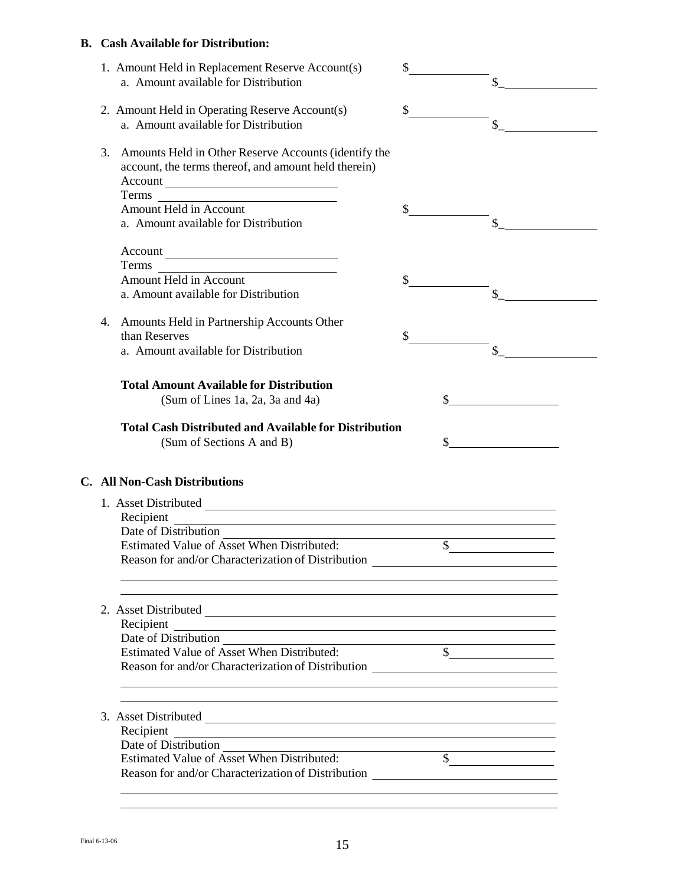## **B. Cash Available for Distribution:**

|    | 1. Amount Held in Replacement Reserve Account(s)<br>a. Amount available for Distribution                                                                                                                                                       | \$                                                                                     |
|----|------------------------------------------------------------------------------------------------------------------------------------------------------------------------------------------------------------------------------------------------|----------------------------------------------------------------------------------------|
|    | 2. Amount Held in Operating Reserve Account(s)<br>a. Amount available for Distribution                                                                                                                                                         | \$                                                                                     |
| 3. | Amounts Held in Other Reserve Accounts (identify the<br>account, the terms thereof, and amount held therein)<br>Terms<br><u> 1989 - Johann Barn, mars ann an t-Amhain Aonaich an t-Aonaich an t-Aonaich an t-Aonaich an t-Aonaich an t-Aon</u> |                                                                                        |
|    | Amount Held in Account                                                                                                                                                                                                                         | \$                                                                                     |
|    | a. Amount available for Distribution                                                                                                                                                                                                           | \$                                                                                     |
|    |                                                                                                                                                                                                                                                |                                                                                        |
|    | <b>Amount Held in Account</b>                                                                                                                                                                                                                  |                                                                                        |
|    | a. Amount available for Distribution                                                                                                                                                                                                           | \$                                                                                     |
| 4. | Amounts Held in Partnership Accounts Other<br>than Reserves                                                                                                                                                                                    | \$                                                                                     |
|    | a. Amount available for Distribution                                                                                                                                                                                                           |                                                                                        |
|    | <b>Total Amount Available for Distribution</b><br>(Sum of Lines 1a, 2a, 3a and 4a)                                                                                                                                                             |                                                                                        |
|    | <b>Total Cash Distributed and Available for Distribution</b><br>(Sum of Sections A and B)                                                                                                                                                      |                                                                                        |
|    |                                                                                                                                                                                                                                                |                                                                                        |
|    | <b>C.</b> All Non-Cash Distributions                                                                                                                                                                                                           |                                                                                        |
|    |                                                                                                                                                                                                                                                |                                                                                        |
|    | Recipient                                                                                                                                                                                                                                      |                                                                                        |
|    | <u> Andreas Andreas Andreas Andreas Andreas Andreas Andreas Andreas Andreas Andreas Andreas Andreas Andreas Andr</u><br>Date of Distribution                                                                                                   |                                                                                        |
|    | <b>Estimated Value of Asset When Distributed:</b><br>Reason for and/or Characterization of Distribution                                                                                                                                        | \$                                                                                     |
|    |                                                                                                                                                                                                                                                |                                                                                        |
|    |                                                                                                                                                                                                                                                |                                                                                        |
|    | Recipient                                                                                                                                                                                                                                      |                                                                                        |
|    | Date of Distribution<br><b>Estimated Value of Asset When Distributed:</b>                                                                                                                                                                      |                                                                                        |
|    | Reason for and/or Characterization of Distribution _____________________________                                                                                                                                                               | $\begin{array}{c c} \hline \textbf{S} & \textbf{S} & \textbf{S} \\ \hline \end{array}$ |
|    |                                                                                                                                                                                                                                                |                                                                                        |
|    |                                                                                                                                                                                                                                                |                                                                                        |
|    | Recipient<br>and the control of the control of the control of the control of the control of the control of the control of the                                                                                                                  |                                                                                        |
|    | Date of Distribution                                                                                                                                                                                                                           |                                                                                        |
|    | <b>Estimated Value of Asset When Distributed:</b><br>Reason for and/or Characterization of Distribution<br><u>Lateral Communication</u>                                                                                                        |                                                                                        |